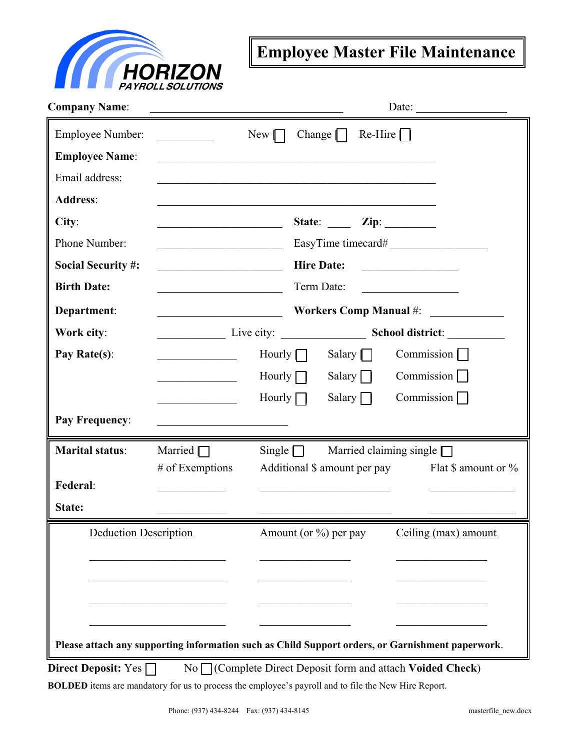

## **Employee Master File Maintenance**

| <b>Company Name:</b>         |                                                   | Date: $\qquad \qquad$                                                                                |
|------------------------------|---------------------------------------------------|------------------------------------------------------------------------------------------------------|
| Employee Number:             |                                                   | $Re-Hire$    <br>Change $\vert \vert$<br>$New$ $\Box$                                                |
| <b>Employee Name:</b>        |                                                   | <u> 1989 - Johann Stoff, amerikansk politiker (d. 1989)</u>                                          |
| Email address:               |                                                   |                                                                                                      |
| <b>Address:</b>              |                                                   |                                                                                                      |
| City:                        |                                                   | State: $\qquad \qquad \text{Zip:} \qquad \qquad$                                                     |
| Phone Number:                |                                                   | EasyTime timecard#                                                                                   |
| <b>Social Security #:</b>    |                                                   | <b>Hire Date:</b>                                                                                    |
| <b>Birth Date:</b>           |                                                   | Term Date:                                                                                           |
| Department:                  | <u> 2002 - Jan Barnett, fransk politik (d. 18</u> | Workers Comp Manual #:                                                                               |
| Work city:                   |                                                   |                                                                                                      |
| Pay Rate(s):                 |                                                   | Commission $\Box$<br>Hourly $\Box$<br>Salary $\Box$                                                  |
|                              |                                                   | Commission $\Box$<br>Salary $\Box$<br>Hourly $\Box$                                                  |
|                              | <u> 1990 - Johann Barbara, martin a</u>           | Commission<br>Hourly $\Box$<br>Salary $\Box$                                                         |
| Pay Frequency:               |                                                   |                                                                                                      |
| <b>Marital status:</b>       | Married $\Box$                                    | Single $\Box$<br>Married claiming single $\Box$                                                      |
|                              | $#$ of Exemptions                                 | Additional \$ amount per pay<br>Flat $\frac{1}{2}$ amount or $\frac{1}{2}$                           |
| Federal:                     |                                                   |                                                                                                      |
| State:                       |                                                   |                                                                                                      |
| <b>Deduction Description</b> |                                                   | Amount (or $\%$ ) per pay<br>Ceiling (max) amount                                                    |
|                              |                                                   |                                                                                                      |
|                              |                                                   |                                                                                                      |
|                              |                                                   |                                                                                                      |
|                              |                                                   |                                                                                                      |
|                              |                                                   | Please attach any supporting information such as Child Support orders, or Garnishment paperwork.     |
| Direct Deposit: $Yes \Box$   |                                                   | $No \bigcap$ (Complete Direct Deposit form and attach Voided Check)                                  |
|                              |                                                   | BOLDED items are mandatory for us to process the employee's payroll and to file the New Hire Report. |